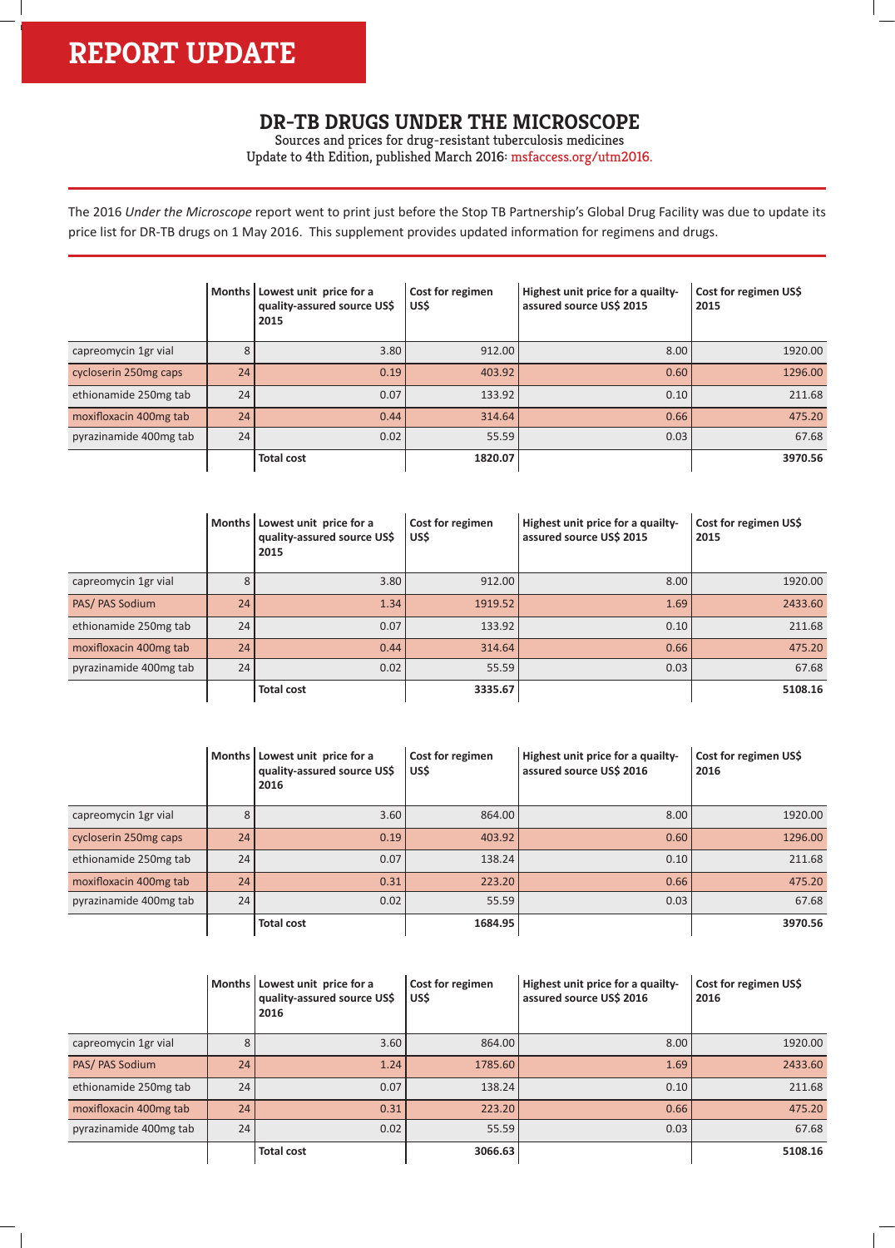h

## **DR-TB DRUGS UNDER THE MICROSCOPE**

Sources and prices for drug-resistant tuberculosis medicines Update to 4th Edition, published March 2016: msfaccess.org/utm2016.

The 2016 *Under the Microscope* report went to print just before the Stop TB Partnership's Global Drug Facility was due to update its price list for DR-TB drugs on 1 May 2016. This supplement provides updated information for regimens and drugs.

|                        | Months | Lowest unit price for a<br>quality-assured source US\$<br>2015 | Cost for regimen<br>US\$ | Highest unit price for a quailty-<br>assured source US\$ 2015 | Cost for regimen US\$<br>2015 |
|------------------------|--------|----------------------------------------------------------------|--------------------------|---------------------------------------------------------------|-------------------------------|
| capreomycin 1gr vial   | 8      | 3.80                                                           | 912.00                   | 8.00                                                          | 1920.00                       |
| cycloserin 250mg caps  | 24     | 0.19                                                           | 403.92                   | 0.60                                                          | 1296.00                       |
| ethionamide 250mg tab  | 24     | 0.07                                                           | 133.92                   | 0.10                                                          | 211.68                        |
| moxifloxacin 400mg tab | 24     | 0.44                                                           | 314.64                   | 0.66                                                          | 475.20                        |
| pyrazinamide 400mg tab | 24     | 0.02                                                           | 55.59                    | 0.03                                                          | 67.68                         |
|                        |        | <b>Total cost</b>                                              | 1820.07                  |                                                               | 3970.56                       |

|                        | <b>Months</b> | Lowest unit price for a<br>quality-assured source US\$<br>2015 | Cost for regimen<br>US\$ | Highest unit price for a quailty-<br>assured source US\$ 2015 | Cost for regimen US\$<br>2015 |
|------------------------|---------------|----------------------------------------------------------------|--------------------------|---------------------------------------------------------------|-------------------------------|
| capreomycin 1gr vial   | 8             | 3.80                                                           | 912.00                   | 8.00                                                          | 1920.00                       |
| PAS/ PAS Sodium        | 24            | 1.34                                                           | 1919.52                  | 1.69                                                          | 2433.60                       |
| ethionamide 250mg tab  | 24            | 0.07                                                           | 133.92                   | 0.10                                                          | 211.68                        |
| moxifloxacin 400mg tab | 24            | 0.44                                                           | 314.64                   | 0.66                                                          | 475.20                        |
| pyrazinamide 400mg tab | 24            | 0.02                                                           | 55.59                    | 0.03                                                          | 67.68                         |
|                        |               | <b>Total cost</b>                                              | 3335.67                  |                                                               | 5108.16                       |

|                        |        | Months   Lowest unit price for a<br>quality-assured source US\$<br>2016 | Cost for regimen<br>US\$ | Highest unit price for a quailty-<br>assured source US\$ 2016 | Cost for regimen US\$<br>2016 |
|------------------------|--------|-------------------------------------------------------------------------|--------------------------|---------------------------------------------------------------|-------------------------------|
| capreomycin 1gr vial   | 8      | 3.60                                                                    | 864.00                   | 8.00                                                          | 1920.00                       |
| cycloserin 250mg caps  | 24     | 0.19                                                                    | 403.92                   | 0.60                                                          | 1296.00                       |
| ethionamide 250mg tab  | 24     | 0.07                                                                    | 138.24                   | 0.10                                                          | 211.68                        |
| moxifloxacin 400mg tab | 24     | 0.31                                                                    | 223.20                   | 0.66                                                          | 475.20                        |
| pyrazinamide 400mg tab | 24     | 0.02                                                                    | 55.59                    | 0.03                                                          | 67.68                         |
|                        |        | <b>Total cost</b>                                                       | 1684.95                  |                                                               | 3970.56                       |
|                        |        |                                                                         |                          |                                                               |                               |
|                        | Months | Lowest unit price for a<br>quality-assured source US\$<br>2016          | Cost for regimen<br>US\$ | Highest unit price for a quailty-<br>assured source US\$ 2016 | Cost for regimen US\$<br>2016 |
| capreomycin 1gr vial   | 8      | 3.60                                                                    | 864.00                   | 8.00                                                          | 1920.00                       |
| PAS/PAS Sodium         | 24     | 1.24                                                                    | 1785.60                  | 1.69                                                          | 2433.60                       |
| ethionamide 250mg tab  | 24     | 0.07                                                                    | 138.24                   | 0.10                                                          | 211.68                        |
| moxifloxacin 400mg tab | 24     | 0.31                                                                    | 223.20                   | 0.66                                                          | 475.20                        |
| pyrazinamide 400mg tab | 24     | 0.02                                                                    | 55.59                    | 0.03                                                          | 67.68                         |